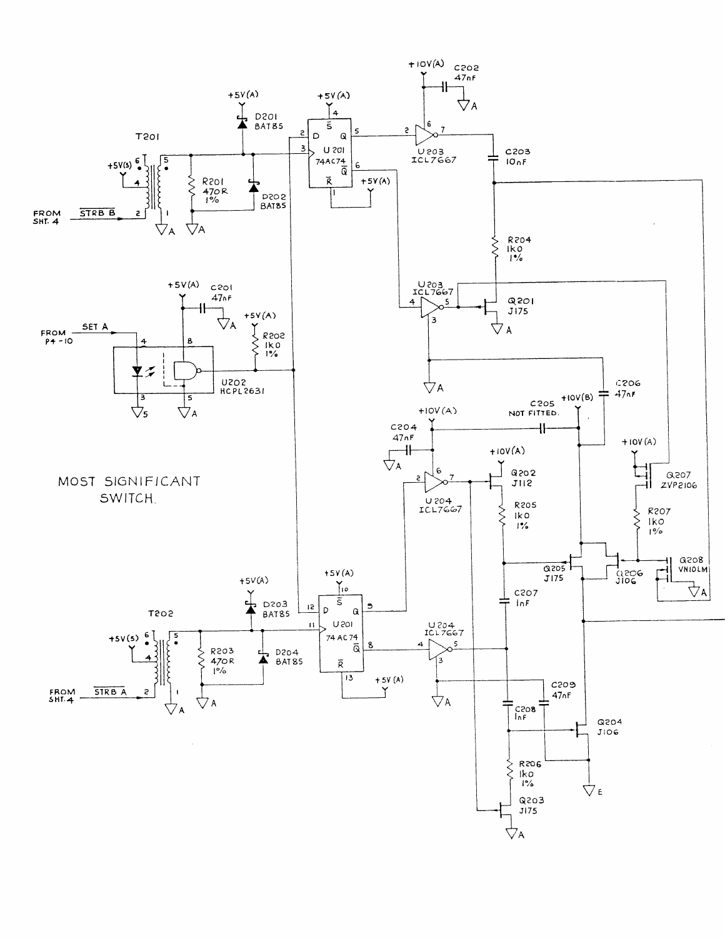